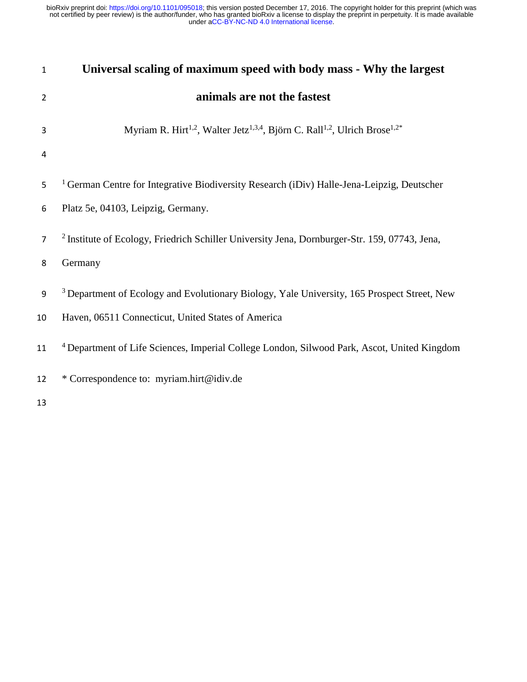| $\mathbf{1}$   | Universal scaling of maximum speed with body mass - Why the largest                                                        |  |  |  |  |  |  |
|----------------|----------------------------------------------------------------------------------------------------------------------------|--|--|--|--|--|--|
| $\overline{2}$ | animals are not the fastest                                                                                                |  |  |  |  |  |  |
| 3              | Myriam R. Hirt <sup>1,2</sup> , Walter Jetz <sup>1,3,4</sup> , Björn C. Rall <sup>1,2</sup> , Ulrich Brose <sup>1,2*</sup> |  |  |  |  |  |  |
| 4              |                                                                                                                            |  |  |  |  |  |  |
| 5              | <sup>1</sup> German Centre for Integrative Biodiversity Research (iDiv) Halle-Jena-Leipzig, Deutscher                      |  |  |  |  |  |  |
| 6              | Platz 5e, 04103, Leipzig, Germany.                                                                                         |  |  |  |  |  |  |
| $\overline{7}$ | <sup>2</sup> Institute of Ecology, Friedrich Schiller University Jena, Dornburger-Str. 159, 07743, Jena,                   |  |  |  |  |  |  |
| 8              | Germany                                                                                                                    |  |  |  |  |  |  |
| 9              | <sup>3</sup> Department of Ecology and Evolutionary Biology, Yale University, 165 Prospect Street, New                     |  |  |  |  |  |  |
| 10             | Haven, 06511 Connecticut, United States of America                                                                         |  |  |  |  |  |  |
| 11             | <sup>4</sup> Department of Life Sciences, Imperial College London, Silwood Park, Ascot, United Kingdom                     |  |  |  |  |  |  |
| 12             | * Correspondence to: myriam.hirt@idiv.de                                                                                   |  |  |  |  |  |  |
| 13             |                                                                                                                            |  |  |  |  |  |  |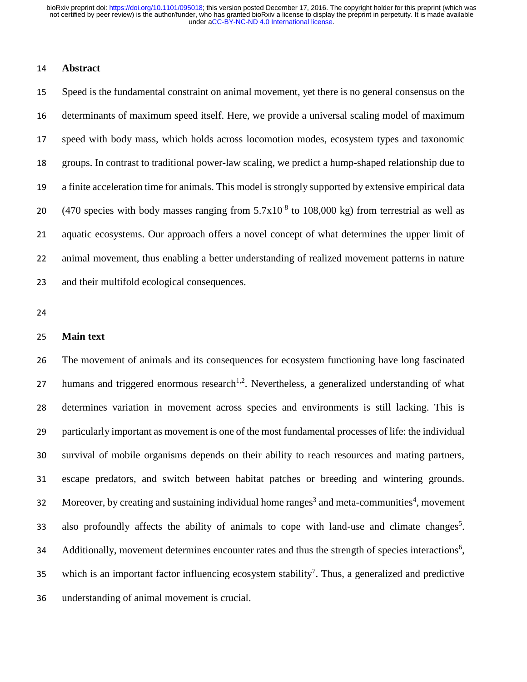# **Abstract**

 Speed is the fundamental constraint on animal movement, yet there is no general consensus on the determinants of maximum speed itself. Here, we provide a universal scaling model of maximum speed with body mass, which holds across locomotion modes, ecosystem types and taxonomic groups. In contrast to traditional power-law scaling, we predict a hump-shaped relationship due to a finite acceleration time for animals. This model is strongly supported by extensive empirical data 20 (470 species with body masses ranging from  $5.7x10^{-8}$  to 108,000 kg) from terrestrial as well as aquatic ecosystems. Our approach offers a novel concept of what determines the upper limit of animal movement, thus enabling a better understanding of realized movement patterns in nature and their multifold ecological consequences.

### **Main text**

 The movement of animals and its consequences for ecosystem functioning have long fascinated 27 humans and triggered enormous research<sup>1,2</sup>. Nevertheless, a generalized understanding of what determines variation in movement across species and environments is still lacking. This is particularly important as movement is one of the most fundamental processes of life: the individual survival of mobile organisms depends on their ability to reach resources and mating partners, escape predators, and switch between habitat patches or breeding and wintering grounds. 32 Moreover, by creating and sustaining individual home ranges<sup>3</sup> and meta-communities<sup>4</sup>, movement also profoundly affects the ability of animals to cope with land-use and climate changes<sup>5</sup>. 34 Additionally, movement determines encounter rates and thus the strength of species interactions<sup>6</sup>, 35 which is an important factor influencing ecosystem stability<sup>7</sup>. Thus, a generalized and predictive understanding of animal movement is crucial.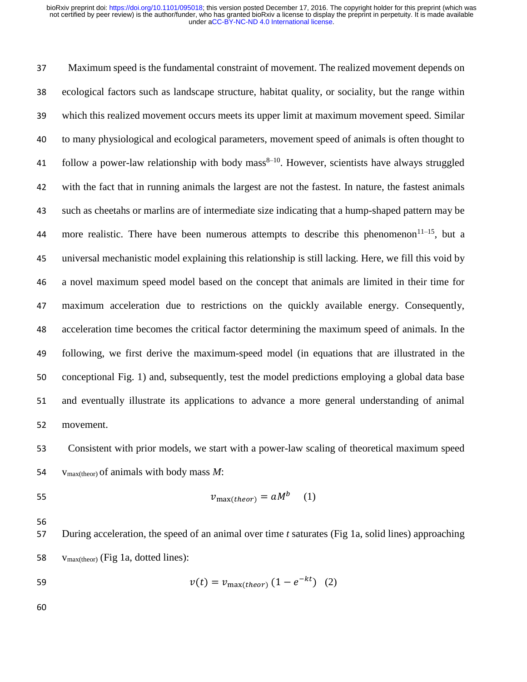Maximum speed is the fundamental constraint of movement. The realized movement depends on ecological factors such as landscape structure, habitat quality, or sociality, but the range within which this realized movement occurs meets its upper limit at maximum movement speed. Similar to many physiological and ecological parameters, movement speed of animals is often thought to 41 follow a power-law relationship with body mass<sup>8–10</sup>. However, scientists have always struggled with the fact that in running animals the largest are not the fastest. In nature, the fastest animals such as cheetahs or marlins are of intermediate size indicating that a hump-shaped pattern may be 44 more realistic. There have been numerous attempts to describe this phenomenon<sup>11–15</sup>, but a universal mechanistic model explaining this relationship is still lacking. Here, we fill this void by a novel maximum speed model based on the concept that animals are limited in their time for maximum acceleration due to restrictions on the quickly available energy. Consequently, acceleration time becomes the critical factor determining the maximum speed of animals. In the following, we first derive the maximum-speed model (in equations that are illustrated in the conceptional Fig. 1) and, subsequently, test the model predictions employing a global data base and eventually illustrate its applications to advance a more general understanding of animal movement.

 Consistent with prior models, we start with a power-law scaling of theoretical maximum speed vmax(theor) of animals with body mass *M*:

$$
v_{\text{max}(theor)} = aM^b \quad (1)
$$

 During acceleration, the speed of an animal over time *t* saturates (Fig 1a, solid lines) approaching vmax(theor) (Fig 1a, dotted lines):

59 
$$
v(t) = v_{\text{max}(theor)} (1 - e^{-kt})
$$
 (2)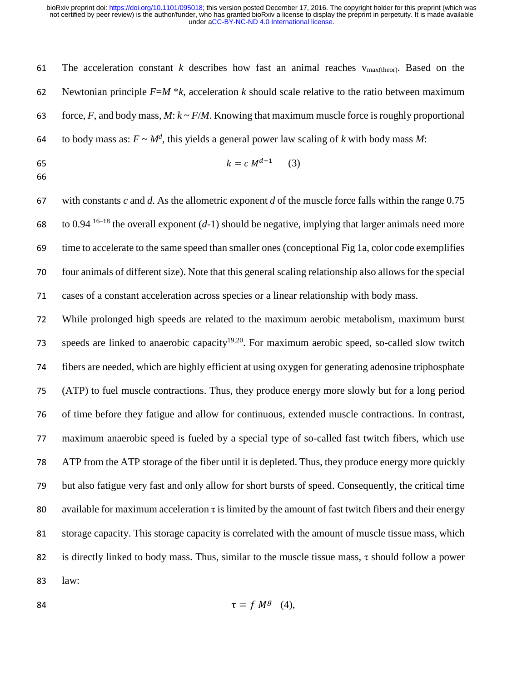The acceleration constant *k* describes how fast an animal reaches vmax(theor). Based on the Newtonian principle *F*=*M* \**k*, acceleration *k* should scale relative to the ratio between maximum 63 force, *F*, and body mass, *M*:  $k \sim F/M$ . Knowing that maximum muscle force is roughly proportional 64 to body mass as:  $F \sim M^d$ , this yields a general power law scaling of *k* with body mass *M*:

$$
k = c M^{d-1} \tag{3}
$$

 with constants *c* and *d*. As the allometric exponent *d* of the muscle force falls within the range 0.75 68 to 0.94<sup>-16–18</sup> the overall exponent (*d*-1) should be negative, implying that larger animals need more time to accelerate to the same speed than smaller ones (conceptional Fig 1a, color code exemplifies four animals of different size). Note that this general scaling relationship also allows for the special cases of a constant acceleration across species or a linear relationship with body mass.

 While prolonged high speeds are related to the maximum aerobic metabolism, maximum burst 73 speeds are linked to anaerobic capacity<sup>19,20</sup>. For maximum aerobic speed, so-called slow twitch fibers are needed, which are highly efficient at using oxygen for generating adenosine triphosphate (ATP) to fuel muscle contractions. Thus, they produce energy more slowly but for a long period of time before they fatigue and allow for continuous, extended muscle contractions. In contrast, maximum anaerobic speed is fueled by a special type of so-called fast twitch fibers, which use ATP from the ATP storage of the fiber until it is depleted. Thus, they produce energy more quickly but also fatigue very fast and only allow for short bursts of speed. Consequently, the critical time 80 available for maximum acceleration  $\tau$  is limited by the amount of fast twitch fibers and their energy storage capacity. This storage capacity is correlated with the amount of muscle tissue mass, which is directly linked to body mass. Thus, similar to the muscle tissue mass, τ should follow a power law:

84  $\tau = f M^g (4),$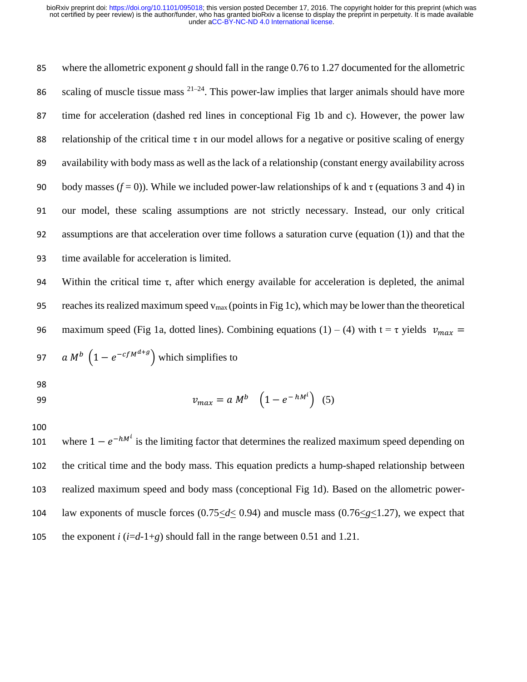where the allometric exponent *g* should fall in the range 0.76 to 1.27 documented for the allometric 86 scaling of muscle tissue mass  $2^{1-24}$ . This power-law implies that larger animals should have more time for acceleration (dashed red lines in conceptional Fig 1b and c). However, the power law 88 relationship of the critical time  $\tau$  in our model allows for a negative or positive scaling of energy availability with body mass as well as the lack of a relationship (constant energy availability across 90 body masses  $(f = 0)$ ). While we included power-law relationships of k and  $\tau$  (equations 3 and 4) in our model, these scaling assumptions are not strictly necessary. Instead, our only critical assumptions are that acceleration over time follows a saturation curve (equation (1)) and that the time available for acceleration is limited.

94 Within the critical time  $\tau$ , after which energy available for acceleration is depleted, the animal 95 reaches its realized maximum speed  $v_{max}$  (points in Fig 1c), which may be lower than the theoretical 96 maximum speed (Fig 1a, dotted lines). Combining equations (1) – (4) with  $t = \tau$  yields  $v_{max} =$ 97 a  $M^b$   $(1 - e^{-cfM^{d+g}})$  which simplifies to

98

$$
v_{max} = a M^b \quad \left(1 - e^{-hM^i}\right) \tag{5}
$$

100

101 where  $1 - e^{-hM^i}$  is the limiting factor that determines the realized maximum speed depending on 102 the critical time and the body mass. This equation predicts a hump-shaped relationship between 103 realized maximum speed and body mass (conceptional Fig 1d). Based on the allometric power-104 law exponents of muscle forces (0.75<*d*< 0.94) and muscle mass (0.76<*g*<1.27), we expect that 105 the exponent *i*  $(i=d-1+g)$  should fall in the range between 0.51 and 1.21.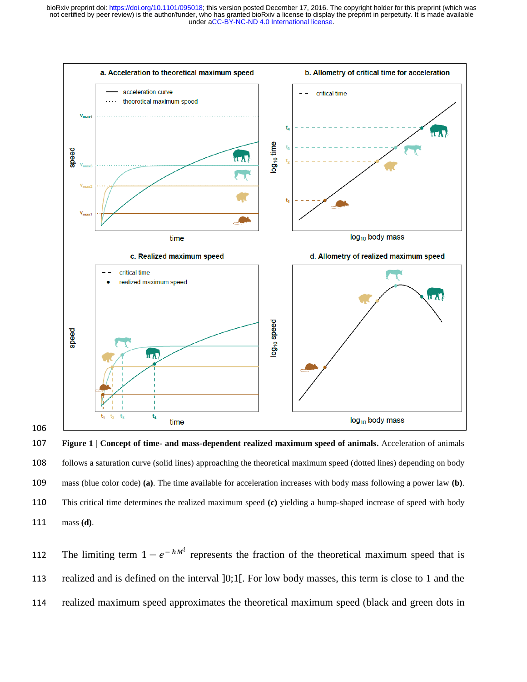

 **Figure 1 | Concept of time- and mass-dependent realized maximum speed of animals.** Acceleration of animals follows a saturation curve (solid lines) approaching the theoretical maximum speed (dotted lines) depending on body mass (blue color code) **(a)**. The time available for acceleration increases with body mass following a power law **(b)**. This critical time determines the realized maximum speed **(c)** yielding a hump-shaped increase of speed with body mass **(d)**.

112 The limiting term  $1 - e^{-hM^i}$  represents the fraction of the theoretical maximum speed that is realized and is defined on the interval ]0;1[. For low body masses, this term is close to 1 and the realized maximum speed approximates the theoretical maximum speed (black and green dots in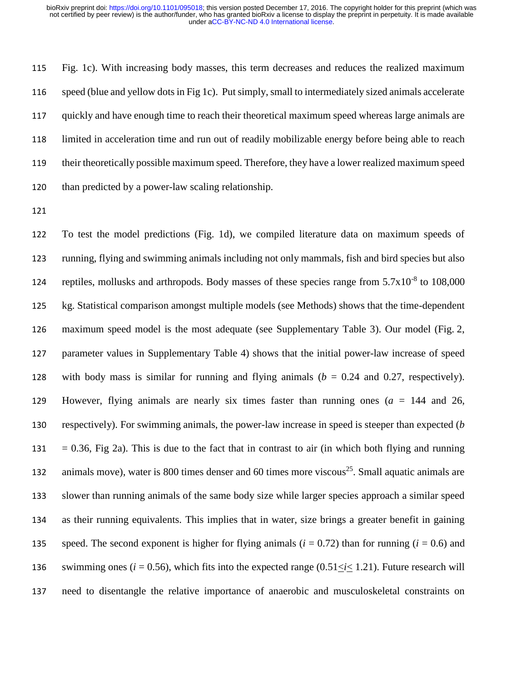Fig. 1c). With increasing body masses, this term decreases and reduces the realized maximum speed (blue and yellow dots in Fig 1c). Put simply, small to intermediately sized animals accelerate quickly and have enough time to reach their theoretical maximum speed whereas large animals are limited in acceleration time and run out of readily mobilizable energy before being able to reach their theoretically possible maximum speed. Therefore, they have a lower realized maximum speed than predicted by a power-law scaling relationship.

 To test the model predictions (Fig. 1d), we compiled literature data on maximum speeds of running, flying and swimming animals including not only mammals, fish and bird species but also 124 reptiles, mollusks and arthropods. Body masses of these species range from  $5.7x10^{-8}$  to 108,000 kg. Statistical comparison amongst multiple models (see Methods) shows that the time-dependent maximum speed model is the most adequate (see Supplementary Table 3). Our model (Fig. 2, parameter values in Supplementary Table 4) shows that the initial power-law increase of speed with body mass is similar for running and flying animals (*b* = 0.24 and 0.27, respectively). However, flying animals are nearly six times faster than running ones (*a* = 144 and 26, respectively). For swimming animals, the power-law increase in speed is steeper than expected (*b* = 0.36, Fig 2a). This is due to the fact that in contrast to air (in which both flying and running animals move), water is 800 times denser and 60 times more viscous<sup>25</sup>. Small aquatic animals are slower than running animals of the same body size while larger species approach a similar speed as their running equivalents. This implies that in water, size brings a greater benefit in gaining 135 speed. The second exponent is higher for flying animals  $(i = 0.72)$  than for running  $(i = 0.6)$  and 136 swimming ones ( $i = 0.56$ ), which fits into the expected range ( $0.51 < i < 1.21$ ). Future research will need to disentangle the relative importance of anaerobic and musculoskeletal constraints on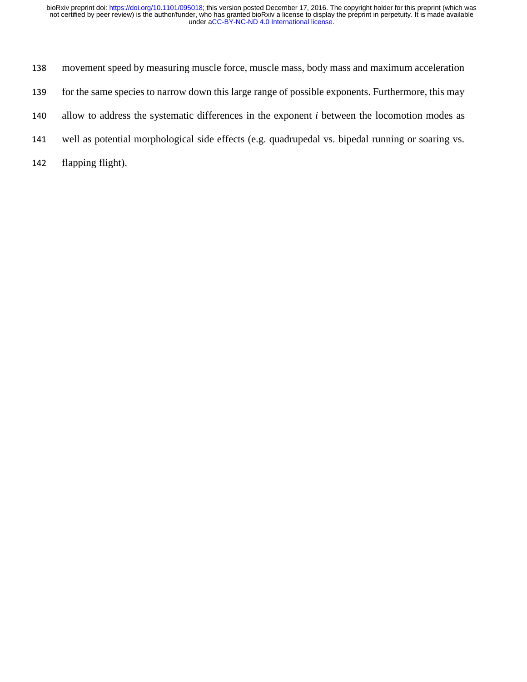- movement speed by measuring muscle force, muscle mass, body mass and maximum acceleration
- for the same species to narrow down this large range of possible exponents. Furthermore, this may
- allow to address the systematic differences in the exponent *i* between the locomotion modes as
- well as potential morphological side effects (e.g. quadrupedal vs. bipedal running or soaring vs.
- flapping flight).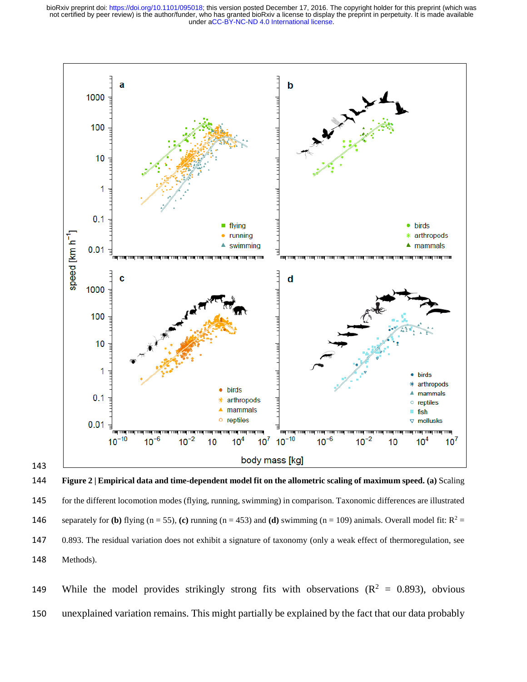

144 **Figure 2 | Empirical data and time-dependent model fit on the allometric scaling of maximum speed. (a)** Scaling 145 for the different locomotion modes (flying, running, swimming) in comparison. Taxonomic differences are illustrated **146** separately for **(b)** flying  $(n = 55)$ , **(c)** running  $(n = 453)$  and **(d)** swimming  $(n = 109)$  animals. Overall model fit:  $R^2 =$ 147 0.893. The residual variation does not exhibit a signature of taxonomy (only a weak effect of thermoregulation, see 148 Methods).

149 While the model provides strikingly strong fits with observations ( $\mathbb{R}^2 = 0.893$ ), obvious 150 unexplained variation remains. This might partially be explained by the fact that our data probably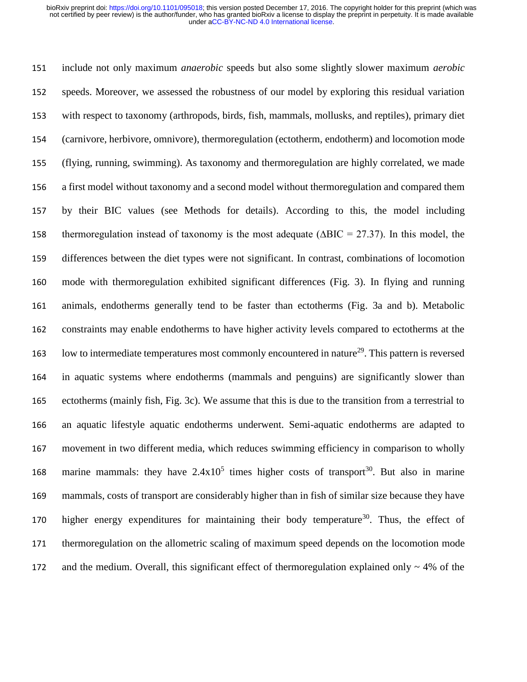include not only maximum *anaerobic* speeds but also some slightly slower maximum *aerobic* speeds. Moreover, we assessed the robustness of our model by exploring this residual variation with respect to taxonomy (arthropods, birds, fish, mammals, mollusks, and reptiles), primary diet (carnivore, herbivore, omnivore), thermoregulation (ectotherm, endotherm) and locomotion mode (flying, running, swimming). As taxonomy and thermoregulation are highly correlated, we made a first model without taxonomy and a second model without thermoregulation and compared them by their BIC values (see Methods for details). According to this, the model including thermoregulation instead of taxonomy is the most adequate (∆BIC = 27.37). In this model, the differences between the diet types were not significant. In contrast, combinations of locomotion mode with thermoregulation exhibited significant differences (Fig. 3). In flying and running animals, endotherms generally tend to be faster than ectotherms (Fig. 3a and b). Metabolic constraints may enable endotherms to have higher activity levels compared to ectotherms at the 163 low to intermediate temperatures most commonly encountered in nature<sup>29</sup>. This pattern is reversed in aquatic systems where endotherms (mammals and penguins) are significantly slower than ectotherms (mainly fish, Fig. 3c). We assume that this is due to the transition from a terrestrial to an aquatic lifestyle aquatic endotherms underwent. Semi-aquatic endotherms are adapted to movement in two different media, which reduces swimming efficiency in comparison to wholly 168 marine mammals: they have  $2.4 \times 10^5$  times higher costs of transport<sup>30</sup>. But also in marine mammals, costs of transport are considerably higher than in fish of similar size because they have 170 higher energy expenditures for maintaining their body temperature<sup>30</sup>. Thus, the effect of thermoregulation on the allometric scaling of maximum speed depends on the locomotion mode 172 and the medium. Overall, this significant effect of thermoregulation explained only  $\sim 4\%$  of the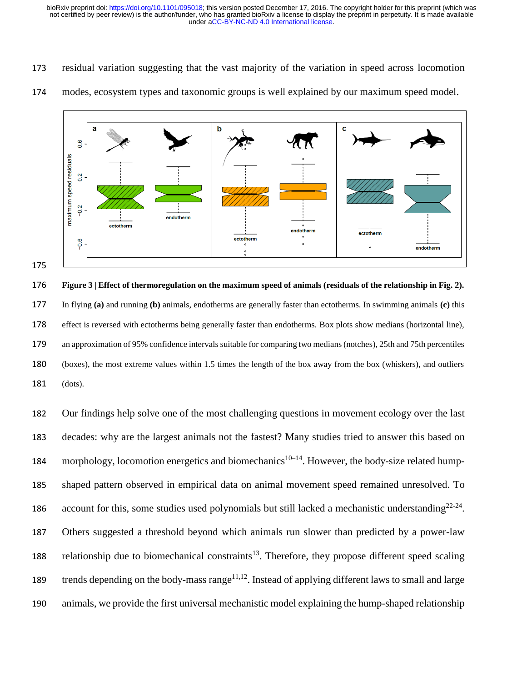residual variation suggesting that the vast majority of the variation in speed across locomotion



modes, ecosystem types and taxonomic groups is well explained by our maximum speed model.

 **Figure 3 | Effect of thermoregulation on the maximum speed of animals (residuals of the relationship in Fig. 2).** In flying **(a)** and running **(b)** animals, endotherms are generally faster than ectotherms. In swimming animals **(c)** this effect is reversed with ectotherms being generally faster than endotherms. Box plots show medians (horizontal line), an approximation of 95% confidence intervals suitable for comparing two medians (notches), 25th and 75th percentiles (boxes), the most extreme values within 1.5 times the length of the box away from the box (whiskers), and outliers (dots).

 Our findings help solve one of the most challenging questions in movement ecology over the last decades: why are the largest animals not the fastest? Many studies tried to answer this based on 184 morphology, locomotion energetics and biomechanics<sup>10–14</sup>. However, the body-size related hump- shaped pattern observed in empirical data on animal movement speed remained unresolved. To 186 account for this, some studies used polynomials but still lacked a mechanistic understanding<sup>22-24</sup>. Others suggested a threshold beyond which animals run slower than predicted by a power-law 188 relationship due to biomechanical constraints<sup>13</sup>. Therefore, they propose different speed scaling trends depending on the body-mass range<sup>11,12</sup>. Instead of applying different laws to small and large animals, we provide the first universal mechanistic model explaining the hump-shaped relationship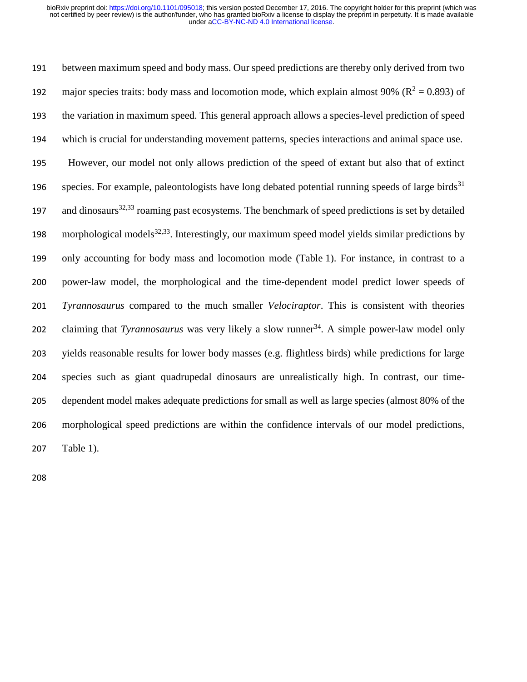between maximum speed and body mass. Our speed predictions are thereby only derived from two 192 major species traits: body mass and locomotion mode, which explain almost 90% ( $\mathbb{R}^2 = 0.893$ ) of the variation in maximum speed. This general approach allows a species-level prediction of speed which is crucial for understanding movement patterns, species interactions and animal space use. However, our model not only allows prediction of the speed of extant but also that of extinct species. For example, paleontologists have long debated potential running speeds of large birds<sup>31</sup> 197 and dinosaurs<sup>32,33</sup> roaming past ecosystems. The benchmark of speed predictions is set by detailed 198 morphological models<sup>32,33</sup>. Interestingly, our maximum speed model yields similar predictions by only accounting for body mass and locomotion mode (Table 1). For instance, in contrast to a power-law model, the morphological and the time-dependent model predict lower speeds of *Tyrannosaurus* compared to the much smaller *Velociraptor*. This is consistent with theories 202 claiming that *Tyrannosaurus* was very likely a slow runner<sup>34</sup>. A simple power-law model only yields reasonable results for lower body masses (e.g. flightless birds) while predictions for large species such as giant quadrupedal dinosaurs are unrealistically high. In contrast, our time- dependent model makes adequate predictions for small as well as large species (almost 80% of the morphological speed predictions are within the confidence intervals of our model predictions, Table 1).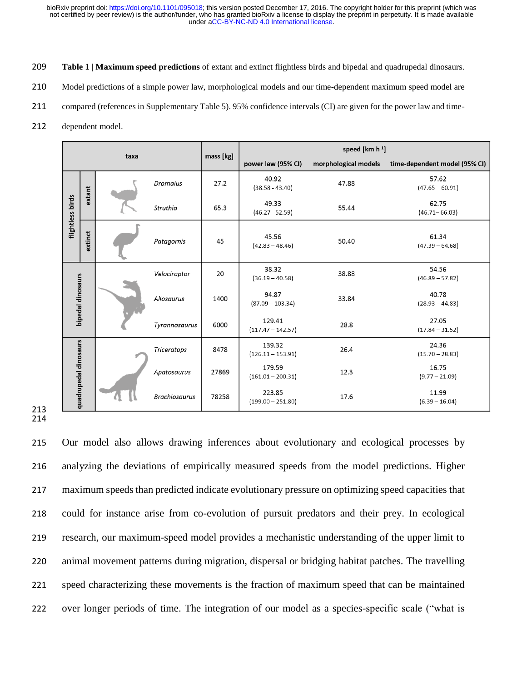- **Table 1 | Maximum speed predictions** of extant and extinct flightless birds and bipedal and quadrupedal dinosaurs.
- 210 Model predictions of a simple power law, morphological models and our time-dependent maximum speed model are
- compared (references in Supplementary Table 5). 95% confidence intervals (CI) are given for the power law and time-
- dependent model.

| taxa              |                       |        |                      | mass [kg] | speed $[km h-1]$              |                      |                               |
|-------------------|-----------------------|--------|----------------------|-----------|-------------------------------|----------------------|-------------------------------|
|                   |                       |        |                      |           | power law (95% CI)            | morphological models | time-dependent model (95% CI) |
| flightless birds  |                       | extant | Dromaius             | 27.2      | 40.92<br>$(38.58 - 43.40)$    | 47.88                | 57.62<br>$(47.65 - 60.91)$    |
|                   |                       |        | Struthio             | 65.3      | 49.33<br>$(46.27 - 52.59)$    | 55.44                | 62.75<br>$(46.71 - 66.03)$    |
|                   | extinct               |        | Patagornis           | 45        | 45.56<br>$(42.83 - 48.46)$    | 50.40                | 61.34<br>$(47.39 - 64.68)$    |
|                   |                       |        | Velociraptor         | 20        | 38.32<br>$(36.19 - 40.58)$    | 38.88                | 54.56<br>$(46.89 - 57.82)$    |
| bipedal dinosaurs |                       |        | Allosaurus           | 1400      | 94.87<br>$(87.09 - 103.34)$   | 33.84                | 40.78<br>$(28.93 - 44.83)$    |
|                   |                       |        | Tyrannosaurus        | 6000      | 129.41<br>$(117.47 - 142.57)$ | 28.8                 | 27.05<br>$(17.84 - 31.52)$    |
|                   |                       |        | <b>Triceratops</b>   | 8478      | 139.32<br>$(126.11 - 153.91)$ | 26.4                 | 24.36<br>$(15.70 - 28.83)$    |
|                   |                       |        | Apatosaurus          | 27869     | 179.59<br>$(161.01 - 200.31)$ | 12.3                 | 16.75<br>$(9.77 - 21.09)$     |
|                   | quadrupedal dinosaurs |        | <b>Brachiosaurus</b> | 78258     | 223.85<br>$(199.00 - 251.80)$ | 17.6                 | 11.99<br>$(6.39 - 16.04)$     |

#### 

 Our model also allows drawing inferences about evolutionary and ecological processes by analyzing the deviations of empirically measured speeds from the model predictions. Higher maximum speeds than predicted indicate evolutionary pressure on optimizing speed capacities that could for instance arise from co-evolution of pursuit predators and their prey. In ecological research, our maximum-speed model provides a mechanistic understanding of the upper limit to animal movement patterns during migration, dispersal or bridging habitat patches. The travelling speed characterizing these movements is the fraction of maximum speed that can be maintained over longer periods of time. The integration of our model as a species-specific scale ("what is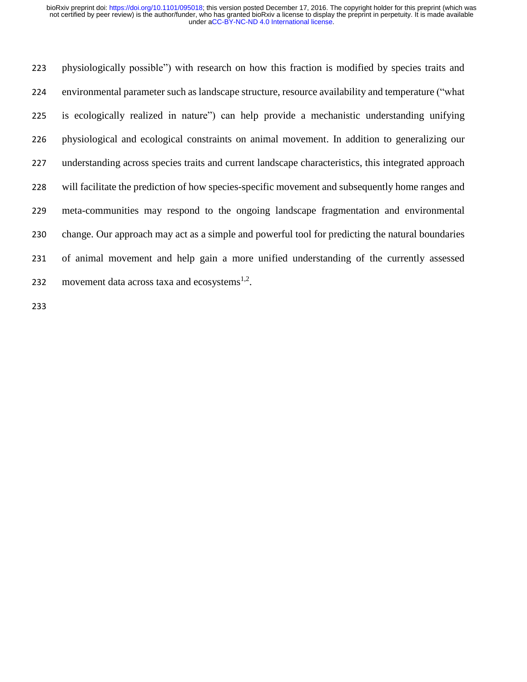physiologically possible") with research on how this fraction is modified by species traits and environmental parameter such as landscape structure, resource availability and temperature ("what is ecologically realized in nature") can help provide a mechanistic understanding unifying physiological and ecological constraints on animal movement. In addition to generalizing our understanding across species traits and current landscape characteristics, this integrated approach will facilitate the prediction of how species-specific movement and subsequently home ranges and meta-communities may respond to the ongoing landscape fragmentation and environmental change. Our approach may act as a simple and powerful tool for predicting the natural boundaries of animal movement and help gain a more unified understanding of the currently assessed 232 movement data across taxa and ecosystems $1.2$ .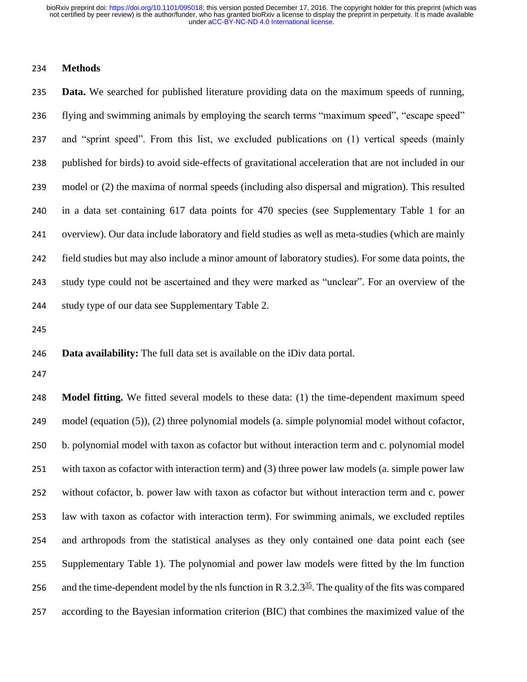## **Methods**

 **Data.** We searched for published literature providing data on the maximum speeds of running, flying and swimming animals by employing the search terms "maximum speed", "escape speed" and "sprint speed". From this list, we excluded publications on (1) vertical speeds (mainly published for birds) to avoid side-effects of gravitational acceleration that are not included in our model or (2) the maxima of normal speeds (including also dispersal and migration). This resulted in a data set containing 617 data points for 470 species (see Supplementary Table 1 for an overview). Our data include laboratory and field studies as well as meta-studies (which are mainly field studies but may also include a minor amount of laboratory studies). For some data points, the study type could not be ascertained and they were marked as "unclear". For an overview of the study type of our data see Supplementary Table 2.

**Data availability:** The full data set is available on the iDiv data portal.

 **Model fitting.** We fitted several models to these data: (1) the time-dependent maximum speed model (equation (5)), (2) three polynomial models (a. simple polynomial model without cofactor, b. polynomial model with taxon as cofactor but without interaction term and c. polynomial model with taxon as cofactor with interaction term) and (3) three power law models (a. simple power law without cofactor, b. power law with taxon as cofactor but without interaction term and c. power law with taxon as cofactor with interaction term). For swimming animals, we excluded reptiles and arthropods from the statistical analyses as they only contained one data point each (see Supplementary Table 1). The polynomial and power law models were fitted by the lm function 256 and the time-dependent model by the nls function in R  $3.2.3<sup>35</sup>$ . The quality of the fits was compared according to the Bayesian information criterion (BIC) that combines the maximized value of the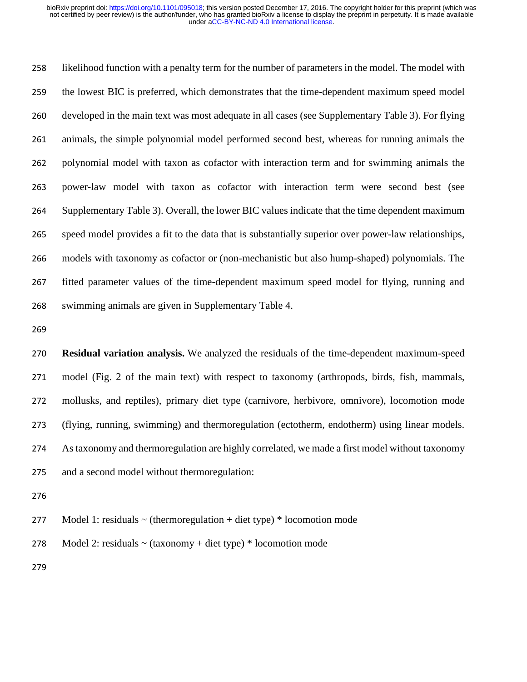likelihood function with a penalty term for the number of parameters in the model. The model with the lowest BIC is preferred, which demonstrates that the time-dependent maximum speed model developed in the main text was most adequate in all cases (see Supplementary Table 3). For flying animals, the simple polynomial model performed second best, whereas for running animals the polynomial model with taxon as cofactor with interaction term and for swimming animals the power-law model with taxon as cofactor with interaction term were second best (see Supplementary Table 3). Overall, the lower BIC values indicate that the time dependent maximum speed model provides a fit to the data that is substantially superior over power-law relationships, models with taxonomy as cofactor or (non-mechanistic but also hump-shaped) polynomials. The fitted parameter values of the time-dependent maximum speed model for flying, running and swimming animals are given in Supplementary Table 4.

 **Residual variation analysis.** We analyzed the residuals of the time-dependent maximum-speed model (Fig. 2 of the main text) with respect to taxonomy (arthropods, birds, fish, mammals, mollusks, and reptiles), primary diet type (carnivore, herbivore, omnivore), locomotion mode (flying, running, swimming) and thermoregulation (ectotherm, endotherm) using linear models. As taxonomy and thermoregulation are highly correlated, we made a first model without taxonomy and a second model without thermoregulation:

277 Model 1: residuals  $\sim$  (thermoregulation + diet type)  $*$  locomotion mode

278 Model 2: residuals  $\sim$  (taxonomy + diet type)  $*$  locomotion mode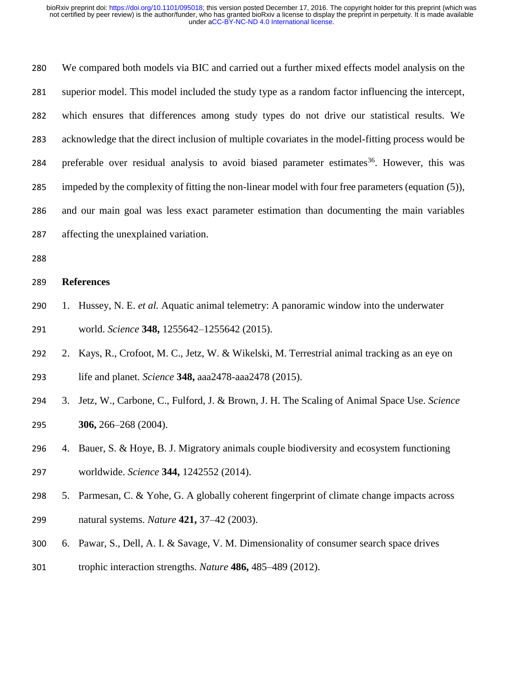We compared both models via BIC and carried out a further mixed effects model analysis on the superior model. This model included the study type as a random factor influencing the intercept, which ensures that differences among study types do not drive our statistical results. We acknowledge that the direct inclusion of multiple covariates in the model-fitting process would be 284 preferable over residual analysis to avoid biased parameter estimates<sup>36</sup>. However, this was impeded by the complexity of fitting the non-linear model with four free parameters (equation (5)), and our main goal was less exact parameter estimation than documenting the main variables affecting the unexplained variation.

## **References**

- 1. Hussey, N. E. *et al.* Aquatic animal telemetry: A panoramic window into the underwater world. *Science* **348,** 1255642–1255642 (2015).
- 2. Kays, R., Crofoot, M. C., Jetz, W. & Wikelski, M. Terrestrial animal tracking as an eye on life and planet. *Science* **348,** aaa2478-aaa2478 (2015).
- 3. Jetz, W., Carbone, C., Fulford, J. & Brown, J. H. The Scaling of Animal Space Use. *Science* **306,** 266–268 (2004).
- 4. Bauer, S. & Hoye, B. J. Migratory animals couple biodiversity and ecosystem functioning worldwide. *Science* **344,** 1242552 (2014).
- 5. Parmesan, C. & Yohe, G. A globally coherent fingerprint of climate change impacts across natural systems. *Nature* **421,** 37–42 (2003).
- 6. Pawar, S., Dell, A. I. & Savage, V. M. Dimensionality of consumer search space drives trophic interaction strengths. *Nature* **486,** 485–489 (2012).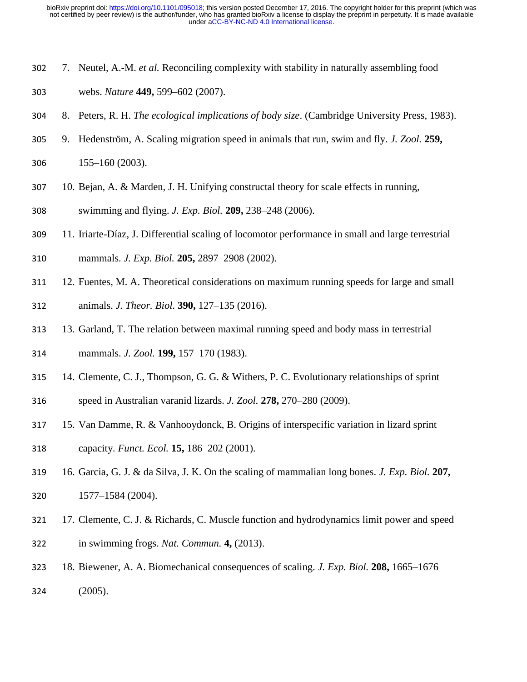- 7. Neutel, A.-M. *et al.* Reconciling complexity with stability in naturally assembling food webs. *Nature* **449,** 599–602 (2007).
- 8. Peters, R. H. *The ecological implications of body size*. (Cambridge University Press, 1983).
- 9. Hedenström, A. Scaling migration speed in animals that run, swim and fly. *J. Zool.* **259,**
- 155–160 (2003).
- 10. Bejan, A. & Marden, J. H. Unifying constructal theory for scale effects in running,
- swimming and flying. *J. Exp. Biol.* **209,** 238–248 (2006).
- 11. Iriarte-Díaz, J. Differential scaling of locomotor performance in small and large terrestrial
- mammals. *J. Exp. Biol.* **205,** 2897–2908 (2002).
- 12. Fuentes, M. A. Theoretical considerations on maximum running speeds for large and small animals. *J. Theor. Biol.* **390,** 127–135 (2016).
- 13. Garland, T. The relation between maximal running speed and body mass in terrestrial
- mammals. *J. Zool.* **199,** 157–170 (1983).
- 14. Clemente, C. J., Thompson, G. G. & Withers, P. C. Evolutionary relationships of sprint
- speed in Australian varanid lizards. *J. Zool.* **278,** 270–280 (2009).
- 15. Van Damme, R. & Vanhooydonck, B. Origins of interspecific variation in lizard sprint capacity. *Funct. Ecol.* **15,** 186–202 (2001).
- 16. Garcia, G. J. & da Silva, J. K. On the scaling of mammalian long bones. *J. Exp. Biol.* **207,** 1577–1584 (2004).
- 17. Clemente, C. J. & Richards, C. Muscle function and hydrodynamics limit power and speed in swimming frogs. *Nat. Commun.* **4,** (2013).
- 18. Biewener, A. A. Biomechanical consequences of scaling. *J. Exp. Biol.* **208,** 1665–1676 (2005).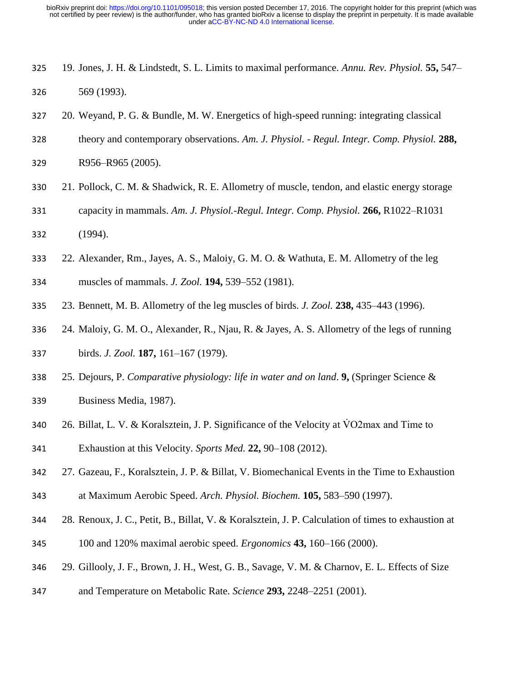- 19. Jones, J. H. & Lindstedt, S. L. Limits to maximal performance. *Annu. Rev. Physiol.* **55,** 547– 569 (1993).
- 20. Weyand, P. G. & Bundle, M. W. Energetics of high-speed running: integrating classical
- theory and contemporary observations. *Am. J. Physiol. Regul. Integr. Comp. Physiol.* **288,**
- R956–R965 (2005).
- 21. Pollock, C. M. & Shadwick, R. E. Allometry of muscle, tendon, and elastic energy storage
- capacity in mammals. *Am. J. Physiol.-Regul. Integr. Comp. Physiol.* **266,** R1022–R1031 (1994).
- 22. Alexander, Rm., Jayes, A. S., Maloiy, G. M. O. & Wathuta, E. M. Allometry of the leg
- muscles of mammals. *J. Zool.* **194,** 539–552 (1981).
- 23. Bennett, M. B. Allometry of the leg muscles of birds. *J. Zool.* **238,** 435–443 (1996).
- 24. Maloiy, G. M. O., Alexander, R., Njau, R. & Jayes, A. S. Allometry of the legs of running birds. *J. Zool.* **187,** 161–167 (1979).
- 25. Dejours, P. *Comparative physiology: life in water and on land*. **9,** (Springer Science &
- Business Media, 1987).
- 340 26. Billat, L. V. & Koralsztein, J. P. Significance of the Velocity at VO2max and Time to
- Exhaustion at this Velocity. *Sports Med.* **22,** 90–108 (2012).
- 27. Gazeau, F., Koralsztein, J. P. & Billat, V. Biomechanical Events in the Time to Exhaustion at Maximum Aerobic Speed. *Arch. Physiol. Biochem.* **105,** 583–590 (1997).
- 28. Renoux, J. C., Petit, B., Billat, V. & Koralsztein, J. P. Calculation of times to exhaustion at
- 100 and 120% maximal aerobic speed. *Ergonomics* **43,** 160–166 (2000).
- 29. Gillooly, J. F., Brown, J. H., West, G. B., Savage, V. M. & Charnov, E. L. Effects of Size
- and Temperature on Metabolic Rate. *Science* **293,** 2248–2251 (2001).